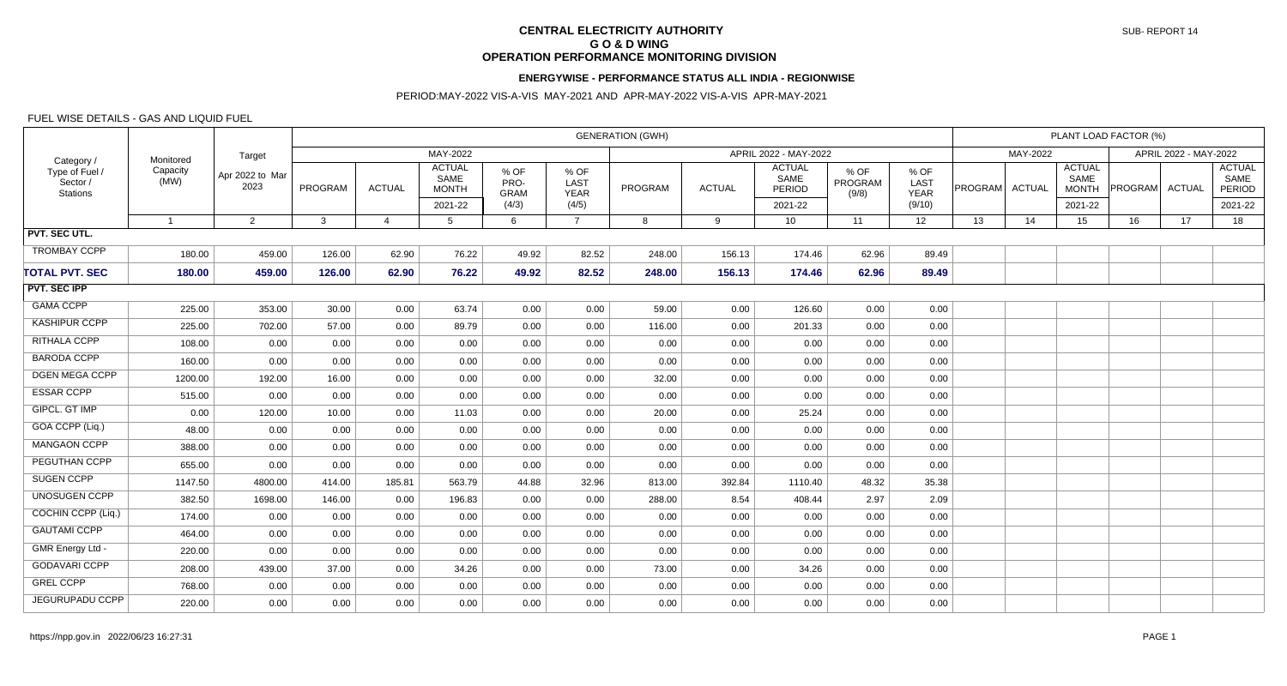# **CENTRAL ELECTRICITY AUTHORITY G O & D WING OPERATION PERFORMANCE MONITORING DIVISION**

#### **ENERGYWISE - PERFORMANCE STATUS ALL INDIA - REGIONWISE**

### PERIOD:MAY-2022 VIS-A-VIS MAY-2021 AND APR-MAY-2022 VIS-A-VIS APR-MAY-2021

### FUEL WISE DETAILS - GAS AND LIQUID FUEL

| Category /<br>Type of Fuel /<br>Sector /<br><b>Stations</b> | Monitored<br>Capacity<br>(MW) | Target<br>Apr 2022 to Mar<br>2023 | <b>GENERATION (GWH)</b> |               |                                                  |                                      |                                      |         |               |                                            |                          |                                       |                | PLANT LOAD FACTOR (%) |                                                  |                       |    |                                            |  |  |
|-------------------------------------------------------------|-------------------------------|-----------------------------------|-------------------------|---------------|--------------------------------------------------|--------------------------------------|--------------------------------------|---------|---------------|--------------------------------------------|--------------------------|---------------------------------------|----------------|-----------------------|--------------------------------------------------|-----------------------|----|--------------------------------------------|--|--|
|                                                             |                               |                                   | MAY-2022                |               |                                                  |                                      |                                      |         |               | APRIL 2022 - MAY-2022                      |                          |                                       |                | MAY-2022              |                                                  | APRIL 2022 - MAY-2022 |    |                                            |  |  |
|                                                             |                               |                                   | PROGRAM                 | <b>ACTUAL</b> | <b>ACTUAL</b><br>SAME<br><b>MONTH</b><br>2021-22 | % OF<br>PRO-<br><b>GRAM</b><br>(4/3) | % OF<br>LAST<br><b>YEAR</b><br>(4/5) | PROGRAM | <b>ACTUAL</b> | <b>ACTUAL</b><br>SAME<br>PERIOD<br>2021-22 | % OF<br>PROGRAM<br>(9/8) | % OF<br>LAST<br><b>YEAR</b><br>(9/10) | PROGRAM ACTUAL |                       | <b>ACTUAL</b><br>SAME<br><b>MONTH</b><br>2021-22 | PROGRAM ACTUAL        |    | <b>ACTUAL</b><br>SAME<br>PERIOD<br>2021-22 |  |  |
|                                                             | $\overline{1}$                | 2                                 | $\mathbf{3}$            | 4             | -5                                               | 6                                    | $\overline{7}$                       | 8       | 9             | 10 <sup>°</sup>                            | 11                       | 12 <sup>2</sup>                       | 13             | 14                    | 15 <sub>1</sub>                                  | 16                    | 17 | 18                                         |  |  |
| PVT. SEC UTL.                                               |                               |                                   |                         |               |                                                  |                                      |                                      |         |               |                                            |                          |                                       |                |                       |                                                  |                       |    |                                            |  |  |
| <b>TROMBAY CCPP</b>                                         | 180.00                        | 459.00                            | 126.00                  | 62.90         | 76.22                                            | 49.92                                | 82.52                                | 248.00  | 156.13        | 174.46                                     | 62.96                    | 89.49                                 |                |                       |                                                  |                       |    |                                            |  |  |
| <b>TOTAL PVT. SEC</b>                                       | 180.00                        | 459.00                            | 126.00                  | 62.90         | 76.22                                            | 49.92                                | 82.52                                | 248.00  | 156.13        | 174.46                                     | 62.96                    | 89.49                                 |                |                       |                                                  |                       |    |                                            |  |  |
| <b>PVT. SEC IPP</b>                                         |                               |                                   |                         |               |                                                  |                                      |                                      |         |               |                                            |                          |                                       |                |                       |                                                  |                       |    |                                            |  |  |
| <b>GAMA CCPP</b>                                            | 225.00                        | 353.00                            | 30.00                   | 0.00          | 63.74                                            | 0.00                                 | 0.00                                 | 59.00   | 0.00          | 126.60                                     | 0.00                     | 0.00                                  |                |                       |                                                  |                       |    |                                            |  |  |
| KASHIPUR CCPP                                               | 225.00                        | 702.00                            | 57.00                   | 0.00          | 89.79                                            | 0.00                                 | 0.00                                 | 116.00  | 0.00          | 201.33                                     | 0.00                     | 0.00                                  |                |                       |                                                  |                       |    |                                            |  |  |
| RITHALA CCPP                                                | 108.00                        | 0.00                              | 0.00                    | 0.00          | 0.00                                             | 0.00                                 | 0.00                                 | 0.00    | 0.00          | 0.00                                       | 0.00                     | 0.00                                  |                |                       |                                                  |                       |    |                                            |  |  |
| <b>BARODA CCPP</b>                                          | 160.00                        | 0.00                              | 0.00                    | 0.00          | 0.00                                             | 0.00                                 | 0.00                                 | 0.00    | 0.00          | 0.00                                       | 0.00                     | 0.00                                  |                |                       |                                                  |                       |    |                                            |  |  |
| <b>DGEN MEGA CCPP</b>                                       | 1200.00                       | 192.00                            | 16.00                   | 0.00          | 0.00                                             | 0.00                                 | 0.00                                 | 32.00   | 0.00          | 0.00                                       | 0.00                     | 0.00                                  |                |                       |                                                  |                       |    |                                            |  |  |
| <b>ESSAR CCPP</b>                                           | 515.00                        | 0.00                              | 0.00                    | 0.00          | 0.00                                             | 0.00                                 | 0.00                                 | 0.00    | 0.00          | 0.00                                       | 0.00                     | 0.00                                  |                |                       |                                                  |                       |    |                                            |  |  |
| GIPCL. GT IMP                                               | 0.00                          | 120.00                            | 10.00                   | 0.00          | 11.03                                            | 0.00                                 | 0.00                                 | 20.00   | 0.00          | 25.24                                      | 0.00                     | 0.00                                  |                |                       |                                                  |                       |    |                                            |  |  |
| GOA CCPP (Liq.)                                             | 48.00                         | 0.00                              | 0.00                    | 0.00          | 0.00                                             | 0.00                                 | 0.00                                 | 0.00    | 0.00          | 0.00                                       | 0.00                     | 0.00                                  |                |                       |                                                  |                       |    |                                            |  |  |
| <b>MANGAON CCPP</b>                                         | 388.00                        | 0.00                              | 0.00                    | 0.00          | 0.00                                             | 0.00                                 | 0.00                                 | 0.00    | 0.00          | 0.00                                       | 0.00                     | 0.00                                  |                |                       |                                                  |                       |    |                                            |  |  |
| PEGUTHAN CCPP                                               | 655.00                        | 0.00                              | 0.00                    | 0.00          | 0.00                                             | 0.00                                 | 0.00                                 | 0.00    | 0.00          | 0.00                                       | 0.00                     | 0.00                                  |                |                       |                                                  |                       |    |                                            |  |  |
| SUGEN CCPP                                                  | 1147.50                       | 4800.00                           | 414.00                  | 185.81        | 563.79                                           | 44.88                                | 32.96                                | 813.00  | 392.84        | 1110.40                                    | 48.32                    | 35.38                                 |                |                       |                                                  |                       |    |                                            |  |  |
| <b>UNOSUGEN CCPP</b>                                        | 382.50                        | 1698.00                           | 146.00                  | 0.00          | 196.83                                           | 0.00                                 | 0.00                                 | 288.00  | 8.54          | 408.44                                     | 2.97                     | 2.09                                  |                |                       |                                                  |                       |    |                                            |  |  |
| COCHIN CCPP (Liq.)                                          | 174.00                        | 0.00                              | 0.00                    | 0.00          | 0.00                                             | 0.00                                 | 0.00                                 | 0.00    | 0.00          | 0.00                                       | 0.00                     | 0.00                                  |                |                       |                                                  |                       |    |                                            |  |  |
| <b>GAUTAMI CCPP</b>                                         | 464.00                        | 0.00                              | 0.00                    | 0.00          | 0.00                                             | 0.00                                 | 0.00                                 | 0.00    | 0.00          | 0.00                                       | 0.00                     | 0.00                                  |                |                       |                                                  |                       |    |                                            |  |  |
| GMR Energy Ltd -                                            | 220.00                        | 0.00                              | 0.00                    | 0.00          | 0.00                                             | 0.00                                 | 0.00                                 | 0.00    | 0.00          | 0.00                                       | 0.00                     | 0.00                                  |                |                       |                                                  |                       |    |                                            |  |  |
| <b>GODAVARI CCPP</b>                                        | 208.00                        | 439.00                            | 37.00                   | 0.00          | 34.26                                            | 0.00                                 | 0.00                                 | 73.00   | 0.00          | 34.26                                      | 0.00                     | 0.00                                  |                |                       |                                                  |                       |    |                                            |  |  |
| <b>GREL CCPP</b>                                            | 768.00                        | 0.00                              | 0.00                    | 0.00          | 0.00                                             | 0.00                                 | 0.00                                 | 0.00    | 0.00          | 0.00                                       | 0.00                     | 0.00                                  |                |                       |                                                  |                       |    |                                            |  |  |
| JEGURUPADU CCPP                                             | 220.00                        | 0.00                              | 0.00                    | 0.00          | 0.00                                             | 0.00                                 | 0.00                                 | 0.00    | 0.00          | 0.00                                       | 0.00                     | 0.00                                  |                |                       |                                                  |                       |    |                                            |  |  |